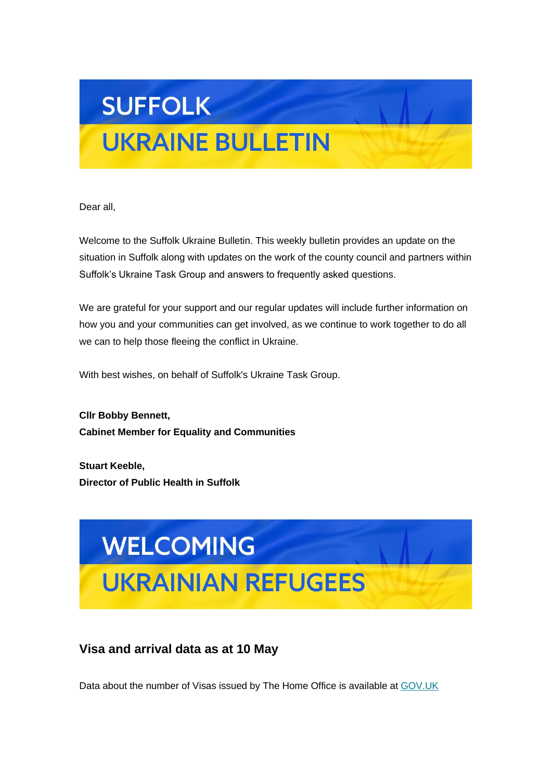# **SUFFOLK**

# **UKRAINE BULLETIN**

Dear all,

Welcome to the Suffolk Ukraine Bulletin. This weekly bulletin provides an update on the situation in Suffolk along with updates on the work of the county council and partners within Suffolk's Ukraine Task Group and answers to frequently asked questions.

We are grateful for your support and our regular updates will include further information on how you and your communities can get involved, as we continue to work together to do all we can to help those fleeing the conflict in Ukraine.

With best wishes, on behalf of Suffolk's Ukraine Task Group.

**Cllr Bobby Bennett, Cabinet Member for Equality and Communities**

**Stuart Keeble, Director of Public Health in Suffolk**



# **Visa and arrival data as at 10 May**

Data about the number of Visas issued by The Home Office is available at [GOV.UK](https://suffolk.us15.list-manage.com/track/click?u=6a4b611d774833befc266f91b&id=2b023b663a&e=6f11f42378)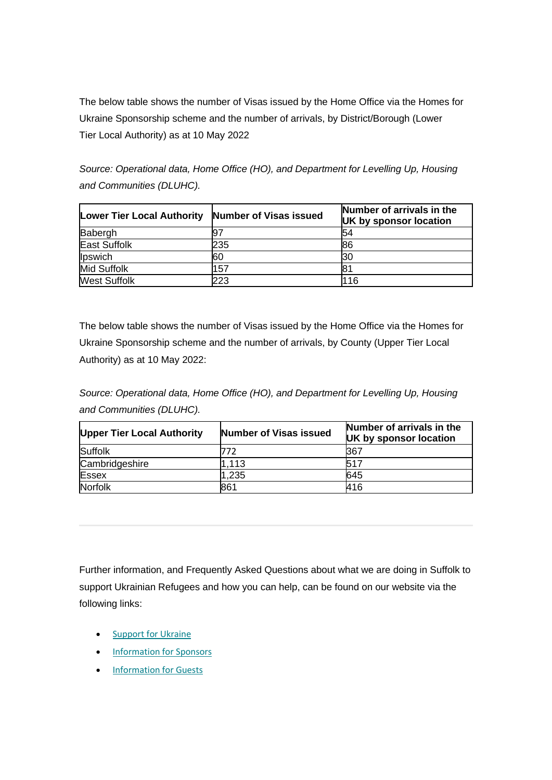The below table shows the number of Visas issued by the Home Office via the Homes for Ukraine Sponsorship scheme and the number of arrivals, by District/Borough (Lower Tier Local Authority) as at 10 May 2022

*Source: Operational data, Home Office (HO), and Department for Levelling Up, Housing and Communities (DLUHC).*

| <b>Lower Tier Local Authority</b> | Number of Visas issued | Number of arrivals in the<br>UK by sponsor location |
|-----------------------------------|------------------------|-----------------------------------------------------|
| Babergh                           | 97                     | 54                                                  |
| <b>East Suffolk</b>               | 235                    | 86                                                  |
| Ipswich                           | 60                     | 130                                                 |
| <b>Mid Suffolk</b>                | 157                    |                                                     |
| <b>West Suffolk</b>               | 223                    | l116                                                |

The below table shows the number of Visas issued by the Home Office via the Homes for Ukraine Sponsorship scheme and the number of arrivals, by County (Upper Tier Local Authority) as at 10 May 2022:

*Source: Operational data, Home Office (HO), and Department for Levelling Up, Housing and Communities (DLUHC).*

| <b>Upper Tier Local Authority</b> | <b>Number of Visas issued</b> | Number of arrivals in the<br>UK by sponsor location |
|-----------------------------------|-------------------------------|-----------------------------------------------------|
| Suffolk                           | 772                           | 367                                                 |
| Cambridgeshire                    | 1.113                         | 517                                                 |
| <b>Essex</b>                      | 1,235                         | 645                                                 |
| Norfolk                           | 861                           | 416                                                 |

Further information, and Frequently Asked Questions about what we are doing in Suffolk to support Ukrainian Refugees and how you can help, can be found on our website via the following links:

- [Support for Ukraine](https://suffolk.us15.list-manage.com/track/click?u=6a4b611d774833befc266f91b&id=1e3fa02161&e=6f11f42378)
- [Information for Sponsors](https://suffolk.us15.list-manage.com/track/click?u=6a4b611d774833befc266f91b&id=3231062401&e=6f11f42378)
- [Information for Guests](https://suffolk.us15.list-manage.com/track/click?u=6a4b611d774833befc266f91b&id=6e868332d5&e=6f11f42378)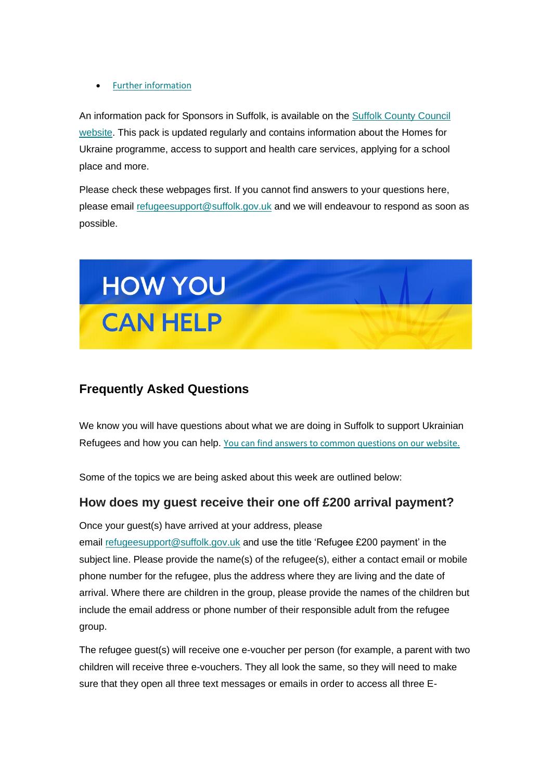• [Further information](https://suffolk.us15.list-manage.com/track/click?u=6a4b611d774833befc266f91b&id=6fe9a4613e&e=6f11f42378)

An information pack for Sponsors in Suffolk, is available on the **Suffolk County Council** [website.](https://suffolk.us15.list-manage.com/track/click?u=6a4b611d774833befc266f91b&id=b1171c55c1&e=6f11f42378) This pack is updated regularly and contains information about the Homes for Ukraine programme, access to support and health care services, applying for a school place and more.

Please check these webpages first. If you cannot find answers to your questions here, please email [refugeesupport@suffolk.gov.uk](mailto:refugeesupport@suffolk.gov.uk) and we will endeavour to respond as soon as possible.



### **Frequently Asked Questions**

We know you will have questions about what we are doing in Suffolk to support Ukrainian Refugees and how you can help. [You can find answers to common questions on our website.](https://suffolk.us15.list-manage.com/track/click?u=6a4b611d774833befc266f91b&id=f5790aa0b7&e=6f11f42378)

Some of the topics we are being asked about this week are outlined below:

#### **How does my guest receive their one off £200 arrival payment?**

Once your guest(s) have arrived at your address, please email [refugeesupport@suffolk.gov.uk](mailto:refugeesupport@suffolk.gov.uk) and use the title 'Refugee £200 payment' in the subject line. Please provide the name(s) of the refugee(s), either a contact email or mobile phone number for the refugee, plus the address where they are living and the date of arrival. Where there are children in the group, please provide the names of the children but include the email address or phone number of their responsible adult from the refugee group.

The refugee guest(s) will receive one e-voucher per person (for example, a parent with two children will receive three e-vouchers. They all look the same, so they will need to make sure that they open all three text messages or emails in order to access all three E-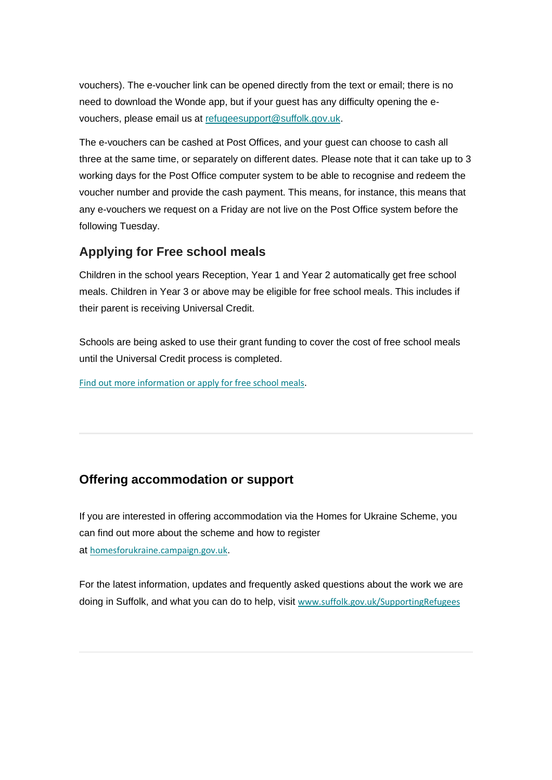vouchers). The e-voucher link can be opened directly from the text or email; there is no need to download the Wonde app, but if your guest has any difficulty opening the evouchers, please email us at [refugeesupport@suffolk.gov.uk.](mailto:refugeesupport@suffolk.gov.uk)

The e-vouchers can be cashed at Post Offices, and your guest can choose to cash all three at the same time, or separately on different dates. Please note that it can take up to 3 working days for the Post Office computer system to be able to recognise and redeem the voucher number and provide the cash payment. This means, for instance, this means that any e-vouchers we request on a Friday are not live on the Post Office system before the following Tuesday.

#### **Applying for Free school meals**

Children in the school years Reception, Year 1 and Year 2 automatically get free school meals. Children in Year 3 or above may be eligible for free school meals. This includes if their parent is receiving Universal Credit.

Schools are being asked to use their grant funding to cover the cost of free school meals until the Universal Credit process is completed.

[Find out more information or apply for free school meals](https://suffolk.us15.list-manage.com/track/click?u=6a4b611d774833befc266f91b&id=eed40b1749&e=6f11f42378).

### **Offering accommodation or support**

If you are interested in offering accommodation via the Homes for Ukraine Scheme, you can find out more about the scheme and how to register at [homesforukraine.campaign.gov.uk](https://suffolk.us15.list-manage.com/track/click?u=6a4b611d774833befc266f91b&id=965cf2f332&e=6f11f42378).

For the latest information, updates and frequently asked questions about the work we are doing in Suffolk, and what you can do to help, visit [www.suffolk.gov.uk/SupportingRefugees](https://suffolk.us15.list-manage.com/track/click?u=6a4b611d774833befc266f91b&id=81f5f6a76a&e=6f11f42378)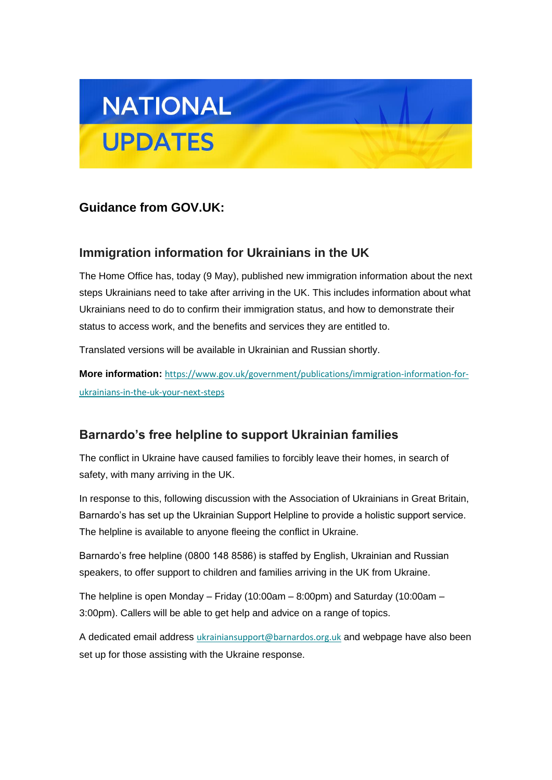

# **Guidance from GOV.UK:**

### **Immigration information for Ukrainians in the UK**

The Home Office has, today (9 May), published new immigration information about the next steps Ukrainians need to take after arriving in the UK. This includes information about what Ukrainians need to do to confirm their immigration status, and how to demonstrate their status to access work, and the benefits and services they are entitled to.

Translated versions will be available in Ukrainian and Russian shortly.

**More information:** [https://www.gov.uk/government/publications/immigration-information-for](https://suffolk.us15.list-manage.com/track/click?u=6a4b611d774833befc266f91b&id=54c463ba5a&e=6f11f42378)[ukrainians-in-the-uk-your-next-steps](https://suffolk.us15.list-manage.com/track/click?u=6a4b611d774833befc266f91b&id=54c463ba5a&e=6f11f42378)

# **Barnardo's free helpline to support Ukrainian families**

The conflict in Ukraine have caused families to forcibly leave their homes, in search of safety, with many arriving in the UK.

In response to this, following discussion with the Association of Ukrainians in Great Britain, Barnardo's has set up the Ukrainian Support Helpline to provide a holistic support service. The helpline is available to anyone fleeing the conflict in Ukraine.

Barnardo's free helpline (0800 148 8586) is staffed by English, Ukrainian and Russian speakers, to offer support to children and families arriving in the UK from Ukraine.

The helpline is open Monday – Friday (10:00am – 8:00pm) and Saturday (10:00am – 3:00pm). Callers will be able to get help and advice on a range of topics.

A dedicated email address [ukrainiansupport@barnardos.org.uk](mailto:ukrainiansupport@barnardos.org.uk) and webpage have also been set up for those assisting with the Ukraine response.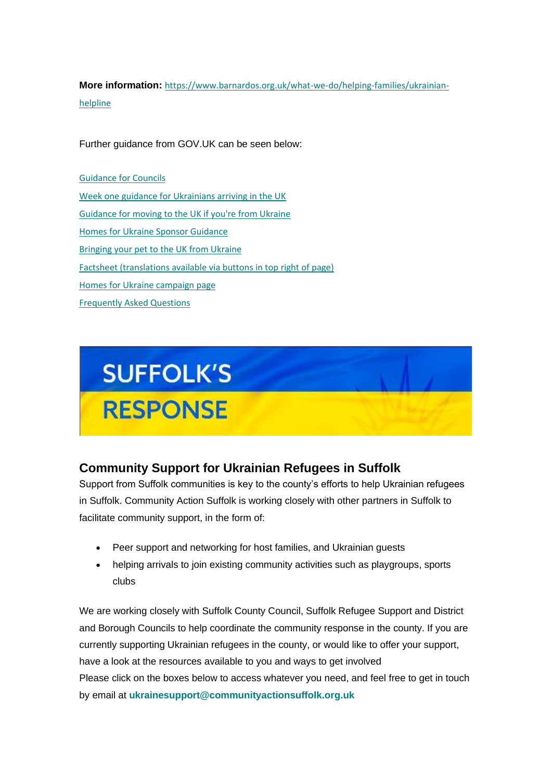**More information:** [https://www.barnardos.org.uk/what-we-do/helping-families/ukrainian](https://suffolk.us15.list-manage.com/track/click?u=6a4b611d774833befc266f91b&id=72d72e8338&e=6f11f42378)[helpline](https://suffolk.us15.list-manage.com/track/click?u=6a4b611d774833befc266f91b&id=72d72e8338&e=6f11f42378)

Further guidance from GOV.UK can be seen below:

Guidance [for Councils](https://suffolk.us15.list-manage.com/track/click?u=6a4b611d774833befc266f91b&id=4062b68eef&e=6f11f42378) [Week one guidance for Ukrainians arriving in the UK](https://suffolk.us15.list-manage.com/track/click?u=6a4b611d774833befc266f91b&id=b8683fdb50&e=6f11f42378) [Guidance for moving to the UK if you're from Ukraine](https://suffolk.us15.list-manage.com/track/click?u=6a4b611d774833befc266f91b&id=feeaec2cb5&e=6f11f42378) [Homes for Ukraine Sponsor Guidance](https://suffolk.us15.list-manage.com/track/click?u=6a4b611d774833befc266f91b&id=47e3b828d2&e=6f11f42378) [Bringing your pet to the UK from Ukraine](https://suffolk.us15.list-manage.com/track/click?u=6a4b611d774833befc266f91b&id=1717e63dac&e=6f11f42378) [Factsheet \(translations available via buttons in top right of page\)](https://suffolk.us15.list-manage.com/track/click?u=6a4b611d774833befc266f91b&id=92ff0e6f80&e=6f11f42378) [Homes for Ukraine campaign page](https://suffolk.us15.list-manage.com/track/click?u=6a4b611d774833befc266f91b&id=c4200f0261&e=6f11f42378) [Frequently Asked Questions](https://suffolk.us15.list-manage.com/track/click?u=6a4b611d774833befc266f91b&id=fb33373afc&e=6f11f42378)



# **Community Support for Ukrainian Refugees in Suffolk**

Support from Suffolk communities is key to the county's efforts to help Ukrainian refugees in Suffolk. Community Action Suffolk is working closely with other partners in Suffolk to facilitate community support, in the form of:

- Peer support and networking for host families, and Ukrainian guests
- helping arrivals to join existing community activities such as playgroups, sports clubs

We are working closely with Suffolk County Council, Suffolk Refugee Support and District and Borough Councils to help coordinate the community response in the county. If you are currently supporting Ukrainian refugees in the county, or would like to offer your support, have a look at the resources available to you and ways to get involved Please click on the boxes below to access whatever you need, and feel free to get in touch by email at **[ukrainesupport@communityactionsuffolk.org.uk](mailto:info@communityactionsuffolk.org.uk)**